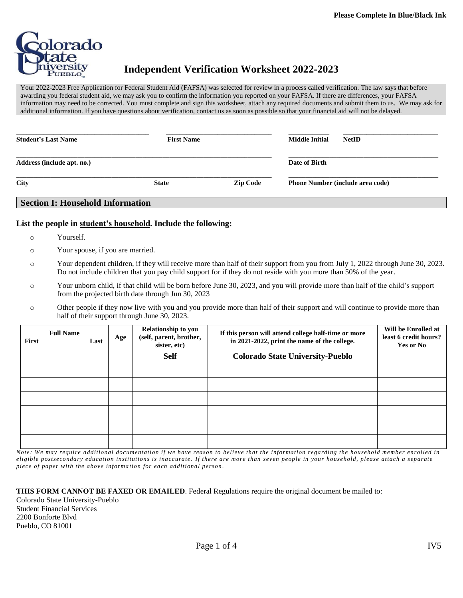

# **Independent Verification Worksheet 2022-2023**

Your 2022-2023 Free Application for Federal Student Aid (FAFSA) was selected for review in a process called verification. The law says that before awarding you federal student aid, we may ask you to confirm the information you reported on your FAFSA. If there are differences, your FAFSA information may need to be corrected. You must complete and sign this worksheet, attach any required documents and submit them to us. We may ask for additional information. If you have questions about verification, contact us as soon as possible so that your financial aid will not be delayed.

| <b>Student's Last Name</b> | <b>First Name</b> |                 | <b>Middle Initial</b>                   | <b>NetID</b> |
|----------------------------|-------------------|-----------------|-----------------------------------------|--------------|
| Address (include apt. no.) |                   |                 | Date of Birth                           |              |
| <b>City</b>                | <b>State</b>      | <b>Zip Code</b> | <b>Phone Number (include area code)</b> |              |

# **Section I: Household Information**

#### **List the people in student's household. Include the following:**

- o Yourself.
- o Your spouse, if you are married.
- o Your dependent children, if they will receive more than half of their support from you from July 1, 2022 through June 30, 2023. Do not include children that you pay child support for if they do not reside with you more than 50% of the year.
- o Your unborn child, if that child will be born before June 30, 2023, and you will provide more than half of the child's support from the projected birth date through Jun 30, 2023
- o Other people if they now live with you and you provide more than half of their support and will continue to provide more than half of their support through June 30, 2023.

| First | <b>Full Name</b> | Last | Age | Relationship to you<br>(self, parent, brother,<br>sister, etc) | If this person will attend college half-time or more<br>in 2021-2022, print the name of the college. | Will be Enrolled at<br>least 6 credit hours?<br>Yes or No |
|-------|------------------|------|-----|----------------------------------------------------------------|------------------------------------------------------------------------------------------------------|-----------------------------------------------------------|
|       |                  |      |     | <b>Self</b>                                                    | <b>Colorado State University-Pueblo</b>                                                              |                                                           |
|       |                  |      |     |                                                                |                                                                                                      |                                                           |
|       |                  |      |     |                                                                |                                                                                                      |                                                           |
|       |                  |      |     |                                                                |                                                                                                      |                                                           |
|       |                  |      |     |                                                                |                                                                                                      |                                                           |
|       |                  |      |     |                                                                |                                                                                                      |                                                           |
|       |                  |      |     |                                                                |                                                                                                      |                                                           |

*Note: We may require additional documentation if we have reason to believe that the information regarding the household member enrolled in eligible postsecondary education institutions is inaccurate. If there are more than seven people in your household, please attach a separate piece of paper with the above informa tion for each additional person .*

**THIS FORM CANNOT BE FAXED OR EMAILED**. Federal Regulations require the original document be mailed to: Colorado State University-Pueblo Student Financial Services 2200 Bonforte Blvd Pueblo, CO 81001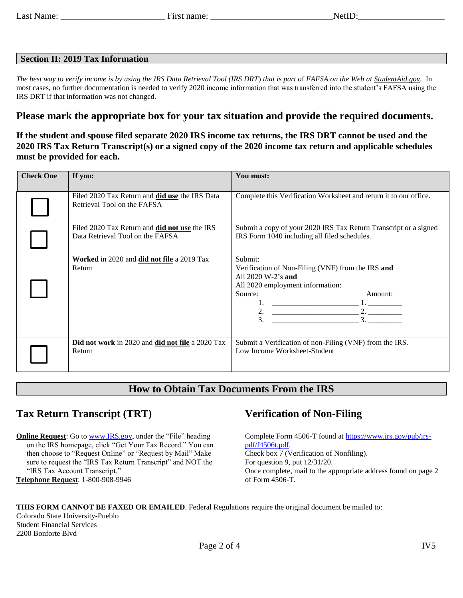#### **Section II: 2019 Tax Information**

*The best way to verify income is by using the IRS Data Retrieval Tool (IRS DRT*) *that is part o*f *FAFSA on the Web at StudentAid.gov.* In most cases, no further documentation is needed to verify 2020 income information that was transferred into the student's FAFSA using the IRS DRT if that information was not changed.

### **Please mark the appropriate box for your tax situation and provide the required documents.**

#### **If the student and spouse filed separate 2020 IRS income tax returns, the IRS DRT cannot be used and the 2020 IRS Tax Return Transcript(s) or a signed copy of the 2020 income tax return and applicable schedules must be provided for each.**

| <b>Check One</b> | If you:                                                                           | You must:                                                                                                                                                                                                                                                                            |
|------------------|-----------------------------------------------------------------------------------|--------------------------------------------------------------------------------------------------------------------------------------------------------------------------------------------------------------------------------------------------------------------------------------|
|                  | Filed 2020 Tax Return and did use the IRS Data<br>Retrieval Tool on the FAFSA     | Complete this Verification Worksheet and return it to our office.                                                                                                                                                                                                                    |
|                  | Filed 2020 Tax Return and did not use the IRS<br>Data Retrieval Tool on the FAFSA | Submit a copy of your 2020 IRS Tax Return Transcript or a signed<br>IRS Form 1040 including all filed schedules.                                                                                                                                                                     |
|                  | Worked in 2020 and did not file a 2019 Tax<br>Return                              | Submit:<br>Verification of Non-Filing (VNF) from the IRS and<br>All 2020 W-2's and<br>All 2020 employment information:<br>Source:<br>Amount:<br>$\begin{array}{c} \begin{array}{c} \begin{array}{c} \begin{array}{c} \end{array} \\ \end{array} \end{array} \end{array}$<br>2.<br>3. |
|                  | Did not work in 2020 and did not file a 2020 Tax<br>Return                        | Submit a Verification of non-Filing (VNF) from the IRS.<br>Low Income Worksheet-Student                                                                                                                                                                                              |

## **How to Obtain Tax Documents From the IRS**

## **Tax Return Transcript (TRT)**

**Online Request:** Go t[o www.IRS.gov,](http://www.irs.gov/) under the "File" heading on the IRS homepage, click "Get Your Tax Record." You can then choose to "Request Online" or "Request by Mail" Make sure to request the "IRS Tax Return Transcript" and NOT the "IRS Tax Account Transcript." **Telephone Request**: 1-800-908-9946

# **Verification of Non-Filing**

Complete Form 4506-T found at [https://www.irs.gov/pub/irs](https://www.irs.gov/pub/irs-pdf/f4506t.pdf)[pdf/f4506t.pdf.](https://www.irs.gov/pub/irs-pdf/f4506t.pdf) Check box 7 (Verification of Nonfiling). For question 9, put 12/31/20. Once complete, mail to the appropriate address found on page 2 of Form 4506-T.

#### **THIS FORM CANNOT BE FAXED OR EMAILED**. Federal Regulations require the original document be mailed to:

Colorado State University-Pueblo Student Financial Services 2200 Bonforte Blvd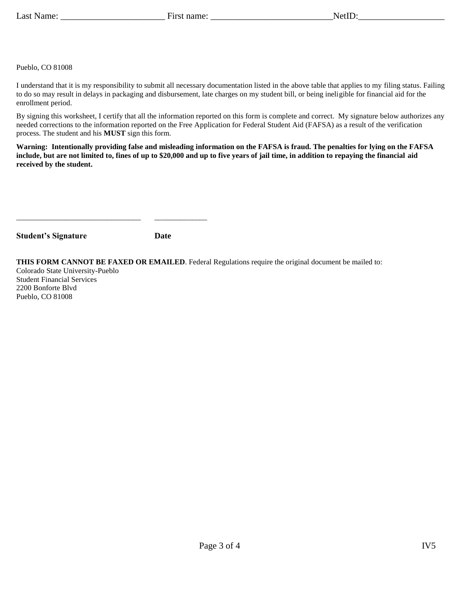Pueblo, CO 81008

I understand that it is my responsibility to submit all necessary documentation listed in the above table that applies to my filing status. Failing to do so may result in delays in packaging and disbursement, late charges on my student bill, or being ineligible for financial aid for the enrollment period.

By signing this worksheet, I certify that all the information reported on this form is complete and correct. My signature below authorizes any needed corrections to the information reported on the Free Application for Federal Student Aid (FAFSA) as a result of the verification process. The student and his **MUST** sign this form.

**Warning: Intentionally providing false and misleading information on the FAFSA is fraud. The penalties for lying on the FAFSA include, but are not limited to, fines of up to \$20,000 and up to five years of jail time, in addition to repaying the financial aid received by the student.**

| <b>Student's Signature</b> | <b>Date</b> |
|----------------------------|-------------|
|                            |             |

\_\_\_\_\_\_\_\_\_\_\_\_\_\_\_\_\_\_\_\_\_\_\_\_\_\_\_\_\_\_\_\_\_ \_\_\_\_\_\_\_\_\_\_\_\_\_\_

**THIS FORM CANNOT BE FAXED OR EMAILED**. Federal Regulations require the original document be mailed to:

Colorado State University-Pueblo Student Financial Services 2200 Bonforte Blvd Pueblo, CO 81008